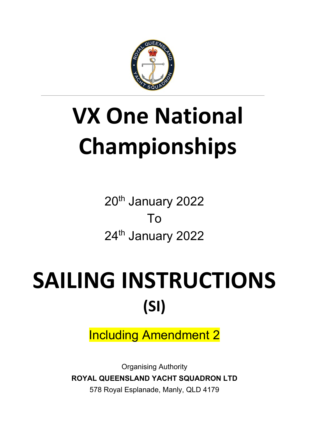

# **VX One National Championships**

20<sup>th</sup> January 2022 To 24<sup>th</sup> January 2022

# SAILING INSTRUCTIONS **(SI)**

Including Amendment 2

Organising Authority **ROYAL QUEENSLAND YACHT SQUADRON LTD** 578 Royal Esplanade, Manly, QLD 4179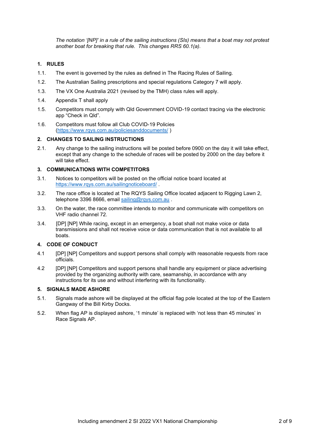*The notation '[NP]' in a rule of the sailing instructions (SIs) means that a boat may not protest another boat for breaking that rule. This changes RRS 60.1(a).* 

#### **1. RULES**

- 1.1. The event is governed by the rules as defined in The Racing Rules of Sailing.
- 1.2. The Australian Sailing prescriptions and special regulations Category 7 will apply.
- 1.3. The VX One Australia 2021 (revised by the TMH) class rules will apply.
- 1.4. Appendix T shall apply
- 1.5. Competitors must comply with Qld Government COVID-19 contact tracing via the electronic app "Check in Qld".
- 1.6. Competitors must follow all Club COVID-19 Policies [\(https://www.rqys.com.au/policiesanddocuments/](https://www.rqys.com.au/policiesanddocuments/) )

#### **2. CHANGES TO SAILING INSTRUCTIONS**

2.1. Any change to the sailing instructions will be posted before 0900 on the day it will take effect, except that any change to the schedule of races will be posted by 2000 on the day before it will take effect.

#### **3. COMMUNICATIONS WITH COMPETITORS**

- 3.1. Notices to competitors will be posted on the official notice board located at <https://www.rqys.com.au/sailingnoticeboard/> .
- 3.2. The race office is located at The RQYS Sailing Office located adjacent to Rigging Lawn 2, telephone 3396 8666, email sailing@rgys.com.au.
- 3.3. On the water, the race committee intends to monitor and communicate with competitors on VHF radio channel 72.
- 3.4. [DP] [NP] While racing, except in an emergency, a boat shall not make voice or data transmissions and shall not receive voice or data communication that is not available to all boats.

#### **4. CODE OF CONDUCT**

- 4.1 [DP] [NP] Competitors and support persons shall comply with reasonable requests from race officials.
- 4.2 [DP] [NP] Competitors and support persons shall handle any equipment or place advertising provided by the organizing authority with care, seamanship, in accordance with any instructions for its use and without interfering with its functionality.

#### **5. SIGNALS MADE ASHORE**

- 5.1. Signals made ashore will be displayed at the official flag pole located at the top of the Eastern Gangway of the Bill Kirby Docks.
- 5.2. When flag AP is displayed ashore, '1 minute' is replaced with 'not less than 45 minutes' in Race Signals AP.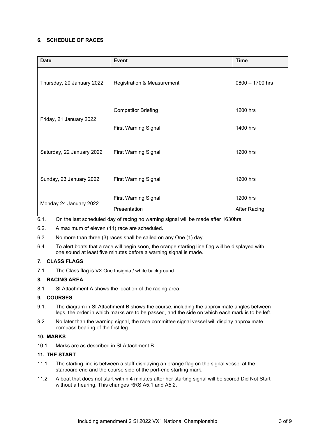#### **6. SCHEDULE OF RACES**

| <b>Date</b>               | <b>Event</b>                          | <b>Time</b>         |
|---------------------------|---------------------------------------|---------------------|
| Thursday, 20 January 2022 | <b>Registration &amp; Measurement</b> | $0800 - 1700$ hrs   |
| Friday, 21 January 2022   | <b>Competitor Briefing</b>            | 1200 hrs            |
|                           | <b>First Warning Signal</b>           | 1400 hrs            |
| Saturday, 22 January 2022 | <b>First Warning Signal</b>           | 1200 hrs            |
| Sunday, 23 January 2022   | <b>First Warning Signal</b>           | 1200 hrs            |
| Monday 24 January 2022    | <b>First Warning Signal</b>           | 1200 hrs            |
|                           | Presentation                          | <b>After Racing</b> |

- 6.1. On the last scheduled day of racing no warning signal will be made after 1630hrs.
- 6.2. A maximum of eleven (11) race are scheduled.
- 6.3. No more than three (3) races shall be sailed on any One (1) day.
- 6.4. To alert boats that a race will begin soon, the orange starting line flag will be displayed with one sound at least five minutes before a warning signal is made.

#### **7. CLASS FLAGS**

7.1. The Class flag is VX One Insignia / white background.

#### **8. RACING AREA**

8.1 SI Attachment A shows the location of the racing area.

#### **9. COURSES**

- 9.1. The diagram in SI Attachment B shows the course, including the approximate angles between legs, the order in which marks are to be passed, and the side on which each mark is to be left.
- 9.2. No later than the warning signal, the race committee signal vessel will display approximate compass bearing of the first leg.

#### **10. MARKS**

10.1. Marks are as described in SI Attachment B.

#### **11. THE START**

- 11.1. The starting line is between a staff displaying an orange flag on the signal vessel at the starboard end and the course side of the port-end starting mark.
- 11.2. A boat that does not start within 4 minutes after her starting signal will be scored Did Not Start without a hearing. This changes RRS A5.1 and A5.2.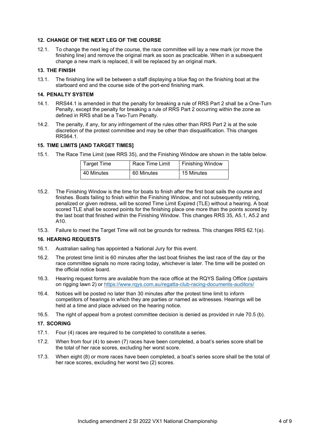#### **12. CHANGE OF THE NEXT LEG OF THE COURSE**

12.1. To change the next leg of the course, the race committee will lay a new mark (or move the finishing line) and remove the original mark as soon as practicable. When in a subsequent change a new mark is replaced, it will be replaced by an original mark.

#### **13. THE FINISH**

13.1. The finishing line will be between a staff displaying a blue flag on the finishing boat at the starboard end and the course side of the port-end finishing mark.

#### **14. PENALTY SYSTEM**

- 14.1. RRS44.1 is amended in that the penalty for breaking a rule of RRS Part 2 shall be a One-Turn Penalty, except the penalty for breaking a rule of RRS Part 2 occurring within the zone as defined in RRS shall be a Two-Turn Penalty.
- 14.2. The penalty, if any, for any infringement of the rules other than RRS Part 2 is at the sole discretion of the protest committee and may be other than disqualification. This changes RRS64.1.

#### **15. TIME LIMITS [AND TARGET TIMES]**

15.1. The Race Time Limit (see RRS 35), and the Finishing Window are shown in the table below.

| <b>Target Time</b> | Race Time Limit | <b>Finishing Window</b> |
|--------------------|-----------------|-------------------------|
| 40 Minutes         | 60 Minutes      | 15 Minutes              |

- 15.2. The Finishing Window is the time for boats to finish after the first boat sails the course and finishes. Boats failing to finish within the Finishing Window, and not subsequently retiring, penalized or given redress, will be scored Time Limit Expired (TLE) without a hearing. A boat scored TLE shall be scored points for the finishing place one more than the points scored by the last boat that finished within the Finishing Window. This changes RRS 35, A5.1, A5.2 and A10.
- 15.3. Failure to meet the Target Time will not be grounds for redress. This changes RRS 62.1(a).

#### **16. HEARING REQUESTS**

- 16.1. Australian sailing has appointed a National Jury for this event.
- 16.2. The protest time limit is 60 minutes after the last boat finishes the last race of the day or the race committee signals no more racing today, whichever is later. The time will be posted on the official notice board.
- 16.3. Hearing request forms are available from the race office at the RQYS Sailing Office (upstairs on rigging lawn 2) or<https://www.rqys.com.au/regatta-club-racing-documents-auditors/>
- 16.4. Notices will be posted no later than 30 minutes after the protest time limit to inform competitors of hearings in which they are parties or named as witnesses. Hearings will be held at a time and place advised on the hearing notice.
- 16.5. The right of appeal from a protest committee decision is denied as provided in rule 70.5 (b).

#### **17. SCORING**

- 17.1. Four (4) races are required to be completed to constitute a series.
- 17.2. When from four (4) to seven (7) races have been completed, a boat's series score shall be the total of her race scores, excluding her worst score.
- 17.3. When eight (8) or more races have been completed, a boat's series score shall be the total of her race scores, excluding her worst two (2) scores.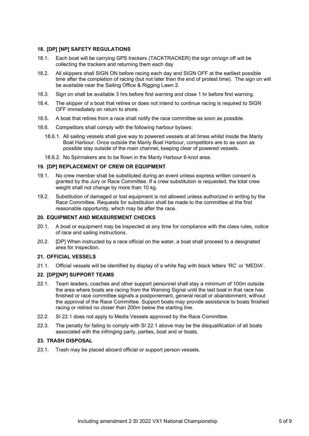#### **18. [DP] [NP] SAFETY REGULATIONS**

- 18.1. Each boat will be carrying GPS trackers (TACKTRACKER) the sign on/sign off will be collecting the trackers and returning them each day
- 18.2. All skippers shall SIGN ON before racing each day and SIGN OFF at the earliest possible time after the completion of racing (but not later than the end of protest time). The sign on will be available near the Sailing Office & Rigging Lawn 2.
- 18.3. Sign on shall be available 3 hrs before first warning and close 1 hr before first warning.
- 18.4. The skipper of a boat that retires or does not intend to continue racing is required to SIGN OFF immediately on return to shore.
- 18.5. A boat that retires from a race shall notify the race committee as soon as possible.
- 18.6. Competitors shall comply with the following harbour bylaws:
	- 18.6.1. All sailing vessels shall give way to powered vessels at all times whilst inside the Manly Boat Harbour. Once outside the Manly Boat Harbour, competitors are to as soon as possible stay outside of the main channel, keeping clear of powered vessels.
	- 18.6.2. No Spinnakers are to be flown in the Manly Harbour 6-knot area.

#### **19. [DP] REPLACEMENT OF CREW OR EQUIPMENT**

- 19.1. No crew member shall be substituted during an event unless express written consent is granted by the Jury or Race Committee. If a crew substitution is requested, the total crew weight shall not change by more than 10 kg.
- 19.2. Substitution of damaged or lost equipment is not allowed unless authorized in writing by the Race Committee. Requests for substitution shall be made to the committee at the first reasonable opportunity, which may be after the race.

#### **20. EQUIPMENT AND MEASUREMENT CHECKS**

- 20.1. A boat or equipment may be inspected at any time for compliance with the class rules, notice of race and sailing instructions.
- 20.2. [DP] When instructed by a race official on the water, a boat shall proceed to a designated area for inspection.

#### **21. OFFICIAL VESSELS**

21.1. Official vessels will be identified by display of a white flag with black letters 'RC' or 'MEDIA'.

#### **22. [DP][NP] SUPPORT TEAMS**

- 22.1. Team leaders, coaches and other support personnel shall stay a minimum of 100m outside the area where boats are racing from the Warning Signal until the last boat in that race has finished or race committee signals a postponement, general recall or abandonment, without the approval of the Race Committee. Support boats may provide assistance to boats finished racing or retired no closer than 200m below the starting line.
- 22.2. SI 22.1 does not apply to Media Vessels approved by the Race Committee.
- 22.3. The penalty for failing to comply with SI 22.1 above may be the disqualification of all boats associated with the infringing party, parties, boat and or boats.

#### **23. TRASH DISPOSAL**

23.1. Trash may be placed aboard official or support person vessels.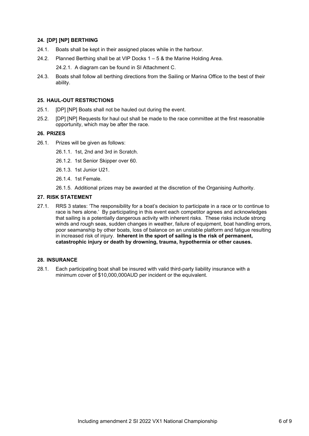#### **24. [DP] [NP] BERTHING**

- 24.1. Boats shall be kept in their assigned places while in the harbour.
- 24.2. Planned Berthing shall be at VIP Docks 1 5 & the Marine Holding Area.

24.2.1. A diagram can be found in SI Attachment C.

24.3. Boats shall follow all berthing directions from the Sailing or Marina Office to the best of their ability.

#### **25. HAUL-OUT RESTRICTIONS**

- 25.1. [DP] [NP] Boats shall not be hauled out during the event.
- 25.2. [DP] [NP] Requests for haul out shall be made to the race committee at the first reasonable opportunity, which may be after the race.

#### **26. PRIZES**

- 26.1. Prizes will be given as follows:
	- 26.1.1. 1st, 2nd and 3rd in Scratch.
	- 26.1.2. 1st Senior Skipper over 60.
	- 26.1.3. 1st Junior U21.
	- 26.1.4. 1st Female.
	- 26.1.5. Additional prizes may be awarded at the discretion of the Organising Authority.

#### **27. RISK STATEMENT**

27.1. RRS 3 states: 'The responsibility for a boat's decision to participate in a race or to continue to race is hers alone.' By participating in this event each competitor agrees and acknowledges that sailing is a potentially dangerous activity with inherent risks. These risks include strong winds and rough seas, sudden changes in weather, failure of equipment, boat handling errors, poor seamanship by other boats, loss of balance on an unstable platform and fatigue resulting in increased risk of injury. **Inherent in the sport of sailing is the risk of permanent, catastrophic injury or death by drowning, trauma, hypothermia or other causes.**

#### **28. INSURANCE**

28.1. Each participating boat shall be insured with valid third-party liability insurance with a minimum cover of \$10,000,000AUD per incident or the equivalent.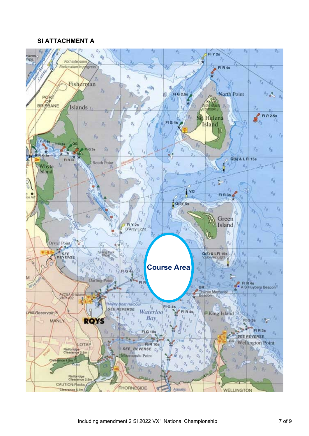### **SI ATTACHMENT A**

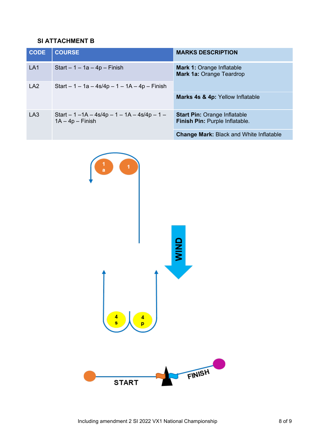# **SI ATTACHMENT B**

| <b>CODE</b>     | <b>COURSE</b>                                                        | <b>MARKS DESCRIPTION</b>                                              |  |
|-----------------|----------------------------------------------------------------------|-----------------------------------------------------------------------|--|
| LA <sub>1</sub> | Start $-1 - 1a - 4p$ – Finish                                        | <b>Mark 1: Orange Inflatable</b><br><b>Mark 1a: Orange Teardrop</b>   |  |
| LA <sub>2</sub> | Start $-1 - 1a - 4s/4p - 1 - 1A - 4p - Finish$                       |                                                                       |  |
|                 |                                                                      | Marks 4s & 4p: Yellow Inflatable                                      |  |
| LA3             | Start $-1 - 1A - 4s/4p - 1 - 1A - 4s/4p - 1 -$<br>$1A - 4p - Finish$ | <b>Start Pin: Orange Inflatable</b><br>Finish Pin: Purple Inflatable. |  |
|                 |                                                                      | <b>Change Mark: Black and White Inflatable</b>                        |  |